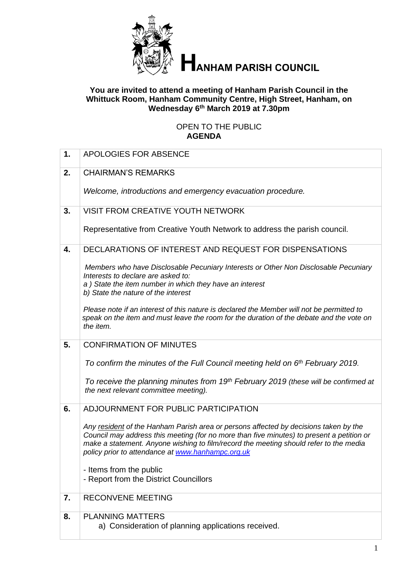

# **HANHAM PARISH COUNCIL**

#### **You are invited to attend a meeting of Hanham Parish Council in the Whittuck Room, Hanham Community Centre, High Street, Hanham, on Wednesday 6 th March 2019 at 7.30pm**

### OPEN TO THE PUBLIC **AGENDA**

| 1. | APOLOGIES FOR ABSENCE                                                                                                                                                                                                                                                                                                           |
|----|---------------------------------------------------------------------------------------------------------------------------------------------------------------------------------------------------------------------------------------------------------------------------------------------------------------------------------|
| 2. | <b>CHAIRMAN'S REMARKS</b>                                                                                                                                                                                                                                                                                                       |
|    | Welcome, introductions and emergency evacuation procedure.                                                                                                                                                                                                                                                                      |
| 3. | <b>VISIT FROM CREATIVE YOUTH NETWORK</b>                                                                                                                                                                                                                                                                                        |
|    | Representative from Creative Youth Network to address the parish council.                                                                                                                                                                                                                                                       |
| 4. | DECLARATIONS OF INTEREST AND REQUEST FOR DISPENSATIONS                                                                                                                                                                                                                                                                          |
|    | Members who have Disclosable Pecuniary Interests or Other Non Disclosable Pecuniary<br>Interests to declare are asked to:<br>a) State the item number in which they have an interest<br>b) State the nature of the interest                                                                                                     |
|    | Please note if an interest of this nature is declared the Member will not be permitted to<br>speak on the item and must leave the room for the duration of the debate and the vote on<br>the item.                                                                                                                              |
| 5. | <b>CONFIRMATION OF MINUTES</b>                                                                                                                                                                                                                                                                                                  |
|    | To confirm the minutes of the Full Council meeting held on 6 <sup>th</sup> February 2019.                                                                                                                                                                                                                                       |
|    |                                                                                                                                                                                                                                                                                                                                 |
|    | To receive the planning minutes from 19th February 2019 (these will be confirmed at<br>the next relevant committee meeting).                                                                                                                                                                                                    |
| 6. | ADJOURNMENT FOR PUBLIC PARTICIPATION                                                                                                                                                                                                                                                                                            |
|    | Any resident of the Hanham Parish area or persons affected by decisions taken by the<br>Council may address this meeting (for no more than five minutes) to present a petition or<br>make a statement. Anyone wishing to film/record the meeting should refer to the media<br>policy prior to attendance at www.hanhampc.org.uk |
|    | - Items from the public                                                                                                                                                                                                                                                                                                         |
|    | - Report from the District Councillors                                                                                                                                                                                                                                                                                          |
| 7. | <b>RECONVENE MEETING</b>                                                                                                                                                                                                                                                                                                        |
| 8. | <b>PLANNING MATTERS</b><br>a) Consideration of planning applications received.                                                                                                                                                                                                                                                  |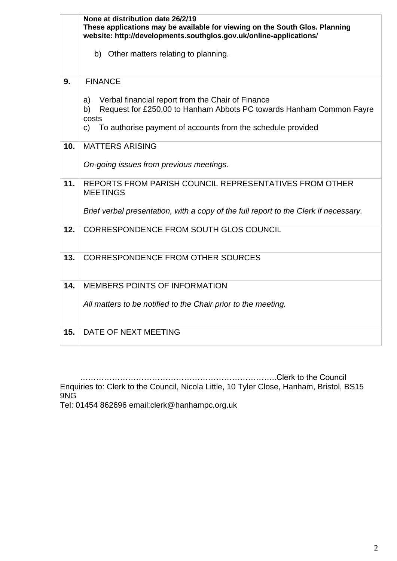|     | None at distribution date 26/2/19<br>These applications may be available for viewing on the South Glos. Planning<br>website: http://developments.southglos.gov.uk/online-applications/<br>b) Other matters relating to planning. |
|-----|----------------------------------------------------------------------------------------------------------------------------------------------------------------------------------------------------------------------------------|
| 9.  | <b>FINANCE</b>                                                                                                                                                                                                                   |
|     | Verbal financial report from the Chair of Finance<br>a)<br>Request for £250.00 to Hanham Abbots PC towards Hanham Common Fayre<br>b)<br>costs<br>To authorise payment of accounts from the schedule provided<br>C)               |
| 10. | <b>MATTERS ARISING</b>                                                                                                                                                                                                           |
|     | On-going issues from previous meetings.                                                                                                                                                                                          |
| 11. | REPORTS FROM PARISH COUNCIL REPRESENTATIVES FROM OTHER<br><b>MEETINGS</b>                                                                                                                                                        |
|     | Brief verbal presentation, with a copy of the full report to the Clerk if necessary.                                                                                                                                             |
| 12. | CORRESPONDENCE FROM SOUTH GLOS COUNCIL                                                                                                                                                                                           |
| 13. | <b>CORRESPONDENCE FROM OTHER SOURCES</b>                                                                                                                                                                                         |
| 14. | MEMBERS POINTS OF INFORMATION                                                                                                                                                                                                    |
|     | All matters to be notified to the Chair prior to the meeting.                                                                                                                                                                    |
| 15. | DATE OF NEXT MEETING                                                                                                                                                                                                             |

 ………………………………………………………………..Clerk to the Council Enquiries to: Clerk to the Council, Nicola Little, 10 Tyler Close, Hanham, Bristol, BS15 9NG

Tel: 01454 862696 email:clerk@hanhampc.org.uk